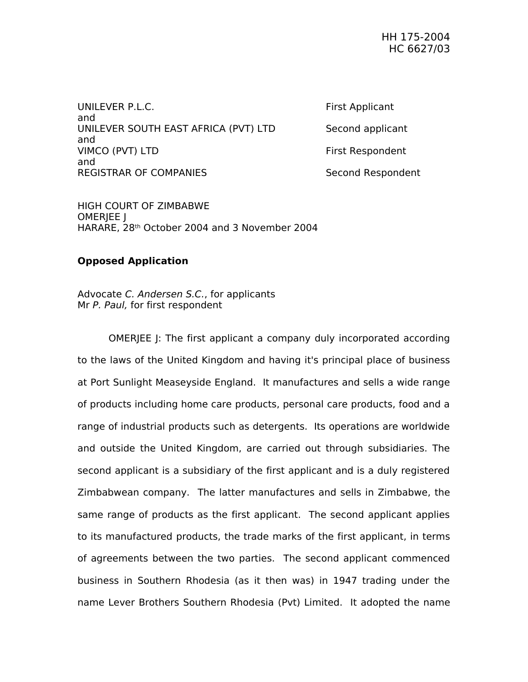UNILEVER P.L.C. **Example 20** Section 1 and 20 Section 1 and 20 Section 1 and 20 Section 1 and 20 Section 1 and 20 Section 1 and 20 Section 1 and 20 Section 1 and 20 Section 1 and 20 Section 1 and 20 Section 1 and 20 Sectio and UNILEVER SOUTH EAST AFRICA (PVT) LTD Second applicant and VIMCO (PVT) LTD First Respondent and REGISTRAR OF COMPANIES Second Respondent

HIGH COURT OF ZIMBABWE OMERJEE J HARARE, 28th October 2004 and 3 November 2004

## **Opposed Application**

Advocate C. Andersen S.C., for applicants Mr P. Paul, for first respondent

OMERJEE J: The first applicant a company duly incorporated according to the laws of the United Kingdom and having it's principal place of business at Port Sunlight Measeyside England. It manufactures and sells a wide range of products including home care products, personal care products, food and a range of industrial products such as detergents. Its operations are worldwide and outside the United Kingdom, are carried out through subsidiaries. The second applicant is a subsidiary of the first applicant and is a duly registered Zimbabwean company. The latter manufactures and sells in Zimbabwe, the same range of products as the first applicant. The second applicant applies to its manufactured products, the trade marks of the first applicant, in terms of agreements between the two parties. The second applicant commenced business in Southern Rhodesia (as it then was) in 1947 trading under the name Lever Brothers Southern Rhodesia (Pvt) Limited. It adopted the name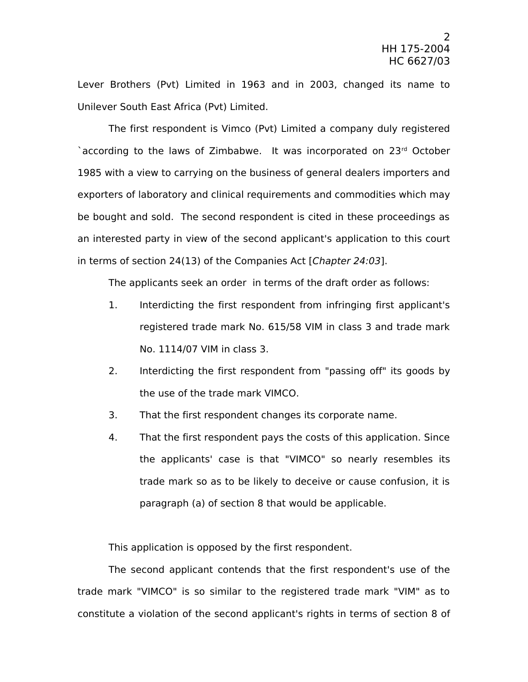Lever Brothers (Pvt) Limited in 1963 and in 2003, changed its name to Unilever South East Africa (Pvt) Limited.

The first respondent is Vimco (Pvt) Limited a company duly registered `according to the laws of Zimbabwe. It was incorporated on 23rd October 1985 with a view to carrying on the business of general dealers importers and exporters of laboratory and clinical requirements and commodities which may be bought and sold. The second respondent is cited in these proceedings as an interested party in view of the second applicant's application to this court in terms of section 24(13) of the Companies Act [Chapter 24:03].

The applicants seek an order in terms of the draft order as follows:

- 1. Interdicting the first respondent from infringing first applicant's registered trade mark No. 615/58 VIM in class 3 and trade mark No. 1114/07 VIM in class 3.
- 2. Interdicting the first respondent from "passing off" its goods by the use of the trade mark VIMCO.
- 3. That the first respondent changes its corporate name.
- 4. That the first respondent pays the costs of this application. Since the applicants' case is that "VIMCO" so nearly resembles its trade mark so as to be likely to deceive or cause confusion, it is paragraph (a) of section 8 that would be applicable.

This application is opposed by the first respondent.

The second applicant contends that the first respondent's use of the trade mark "VIMCO" is so similar to the registered trade mark "VIM" as to constitute a violation of the second applicant's rights in terms of section 8 of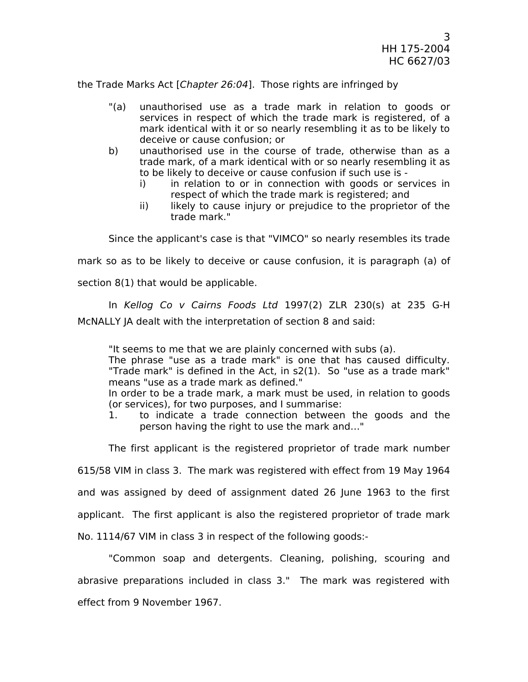the Trade Marks Act [Chapter 26:04]. Those rights are infringed by

- "(a) unauthorised use as a trade mark in relation to goods or services in respect of which the trade mark is registered, of a mark identical with it or so nearly resembling it as to be likely to deceive or cause confusion; or
- b) unauthorised use in the course of trade, otherwise than as a trade mark, of a mark identical with or so nearly resembling it as to be likely to deceive or cause confusion if such use is
	- i) in relation to or in connection with goods or services in respect of which the trade mark is registered; and
	- ii) likely to cause injury or prejudice to the proprietor of the trade mark."

Since the applicant's case is that "VIMCO" so nearly resembles its trade

mark so as to be likely to deceive or cause confusion, it is paragraph (a) of

section 8(1) that would be applicable.

In Kellog Co v Cairns Foods Ltd 1997(2) ZLR 230(s) at 235 G-H McNALLY JA dealt with the interpretation of section 8 and said:

"It seems to me that we are plainly concerned with subs (a).

The phrase "use as a trade mark" is one that has caused difficulty. "Trade mark" is defined in the Act, in s2(1). So "use as a trade mark" means "use as a trade mark as defined."

In order to be a trade mark, a mark must be used, in relation to goods (or services), for two purposes, and I summarise:

1. to indicate a trade connection between the goods and the person having the right to use the mark and…"

The first applicant is the registered proprietor of trade mark number

615/58 VIM in class 3. The mark was registered with effect from 19 May 1964

and was assigned by deed of assignment dated 26 June 1963 to the first

applicant. The first applicant is also the registered proprietor of trade mark

No. 1114/67 VIM in class 3 in respect of the following goods:-

"Common soap and detergents. Cleaning, polishing, scouring and abrasive preparations included in class 3." The mark was registered with effect from 9 November 1967.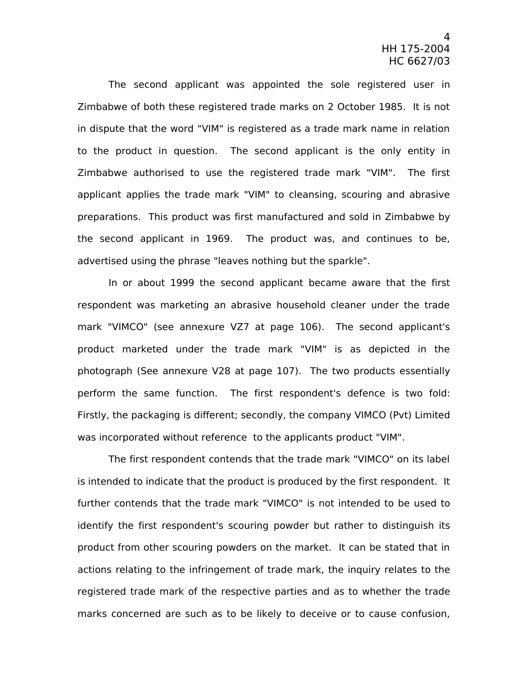The second applicant was appointed the sole registered user in Zimbabwe of both these registered trade marks on 2 October 1985. It is not in dispute that the word "VIM" is registered as a trade mark name in relation to the product in question. The second applicant is the only entity in Zimbabwe authorised to use the registered trade mark "VIM". The first applicant applies the trade mark "VIM" to cleansing, scouring and abrasive preparations. This product was first manufactured and sold in Zimbabwe by the second applicant in 1969. The product was, and continues to be, advertised using the phrase "leaves nothing but the sparkle".

In or about 1999 the second applicant became aware that the first respondent was marketing an abrasive household cleaner under the trade mark "VIMCO" (see annexure VZ7 at page 106). The second applicant's product marketed under the trade mark "VIM" is as depicted in the photograph (See annexure V28 at page 107). The two products essentially perform the same function. The first respondent's defence is two fold: Firstly, the packaging is different; secondly, the company VIMCO (Pvt) Limited was incorporated without reference to the applicants product "VIM".

The first respondent contends that the trade mark "VIMCO" on its label is intended to indicate that the product is produced by the first respondent. It further contends that the trade mark "VIMCO" is not intended to be used to identify the first respondent's scouring powder but rather to distinguish its product from other scouring powders on the market. It can be stated that in actions relating to the infringement of trade mark, the inquiry relates to the registered trade mark of the respective parties and as to whether the trade marks concerned are such as to be likely to deceive or to cause confusion,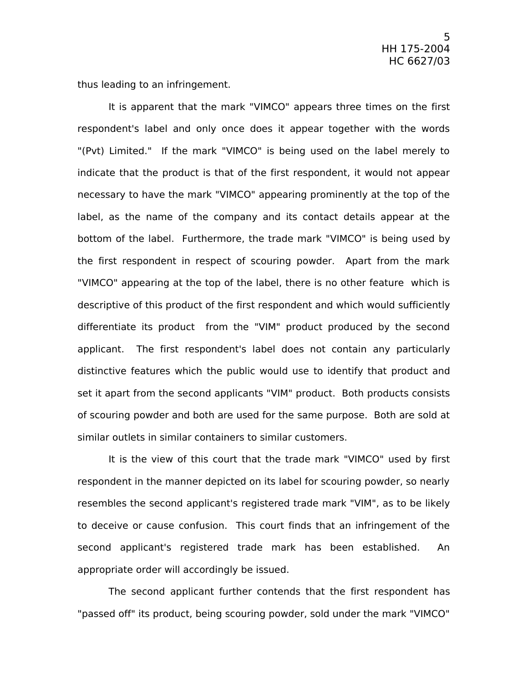thus leading to an infringement.

It is apparent that the mark "VIMCO" appears three times on the first respondent's label and only once does it appear together with the words "(Pvt) Limited." If the mark "VIMCO" is being used on the label merely to indicate that the product is that of the first respondent, it would not appear necessary to have the mark "VIMCO" appearing prominently at the top of the label, as the name of the company and its contact details appear at the bottom of the label. Furthermore, the trade mark "VIMCO" is being used by the first respondent in respect of scouring powder. Apart from the mark "VIMCO" appearing at the top of the label, there is no other feature which is descriptive of this product of the first respondent and which would sufficiently differentiate its product from the "VIM" product produced by the second applicant. The first respondent's label does not contain any particularly distinctive features which the public would use to identify that product and set it apart from the second applicants "VIM" product. Both products consists of scouring powder and both are used for the same purpose. Both are sold at similar outlets in similar containers to similar customers.

It is the view of this court that the trade mark "VIMCO" used by first respondent in the manner depicted on its label for scouring powder, so nearly resembles the second applicant's registered trade mark "VIM", as to be likely to deceive or cause confusion. This court finds that an infringement of the second applicant's registered trade mark has been established. An appropriate order will accordingly be issued.

The second applicant further contends that the first respondent has "passed off" its product, being scouring powder, sold under the mark "VIMCO"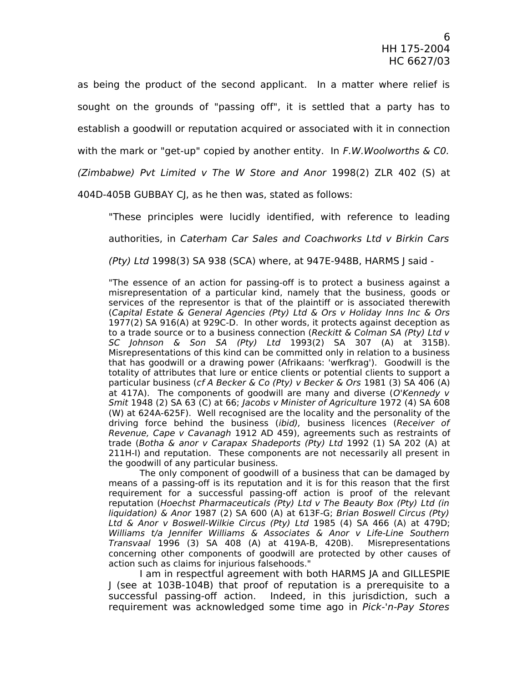as being the product of the second applicant. In a matter where relief is sought on the grounds of "passing off", it is settled that a party has to establish a goodwill or reputation acquired or associated with it in connection with the mark or "get-up" copied by another entity. In  $F.W.Woolworths \& CO.$ (Zimbabwe) Pvt Limited v The W Store and Anor 1998(2) ZLR 402 (S) at

404D-405B GUBBAY CJ, as he then was, stated as follows:

"These principles were lucidly identified, with reference to leading authorities, in Caterham Car Sales and Coachworks Ltd v Birkin Cars (Pty) Ltd 1998(3) SA 938 (SCA) where, at 947E-948B, HARMS J said -

"The essence of an action for passing-off is to protect a business against a misrepresentation of a particular kind, namely that the business, goods or services of the representor is that of the plaintiff or is associated therewith (Capital Estate & General Agencies (Pty) Ltd & Ors v Holiday Inns Inc & Ors 1977(2) SA 916(A) at 929C-D. In other words, it protects against deception as to a trade source or to a business connection (Reckitt & Colman SA (Pty) Ltd  $v$ SC Johnson & Son SA (Pty) Ltd 1993(2) SA 307 (A) at 315B). Misrepresentations of this kind can be committed only in relation to a business that has goodwill or a drawing power (Afrikaans: 'werfkrag'). Goodwill is the totality of attributes that lure or entice clients or potential clients to support a particular business (cf A Becker & Co (Pty) v Becker & Ors 1981 (3) SA 406 (A) at 417A). The components of goodwill are many and diverse (O'Kennedy v Smit 1948 (2) SA 63 (C) at 66; Jacobs v Minister of Agriculture 1972 (4) SA 608 (W) at 624A-625F). Well recognised are the locality and the personality of the driving force behind the business (ibid), business licences (Receiver of Revenue, Cape v Cavanagh 1912 AD 459), agreements such as restraints of trade (Botha & anor v Carapax Shadeports (Pty) Ltd 1992 (1) SA 202 (A) at 211H-I) and reputation. These components are not necessarily all present in the goodwill of any particular business.

The only component of goodwill of a business that can be damaged by means of a passing-off is its reputation and it is for this reason that the first requirement for a successful passing-off action is proof of the relevant reputation (Hoechst Pharmaceuticals (Pty) Ltd v The Beauty Box (Pty) Ltd (in liquidation) & Anor 1987 (2) SA 600 (A) at 613F-G; Brian Boswell Circus (Pty) Ltd & Anor v Boswell-Wilkie Circus (Pty) Ltd 1985 (4) SA 466 (A) at 479D; Williams t/a Jennifer Williams & Associates & Anor v Life-Line Southern Transvaal 1996 (3) SA 408 (A) at 419A-B, 420B). Misrepresentations concerning other components of goodwill are protected by other causes of action such as claims for injurious falsehoods."

I am in respectful agreement with both HARMS JA and GILLESPIE J (see at 103B-104B) that proof of reputation is a prerequisite to a successful passing-off action. Indeed, in this jurisdiction, such a requirement was acknowledged some time ago in Pick-'n-Pay Stores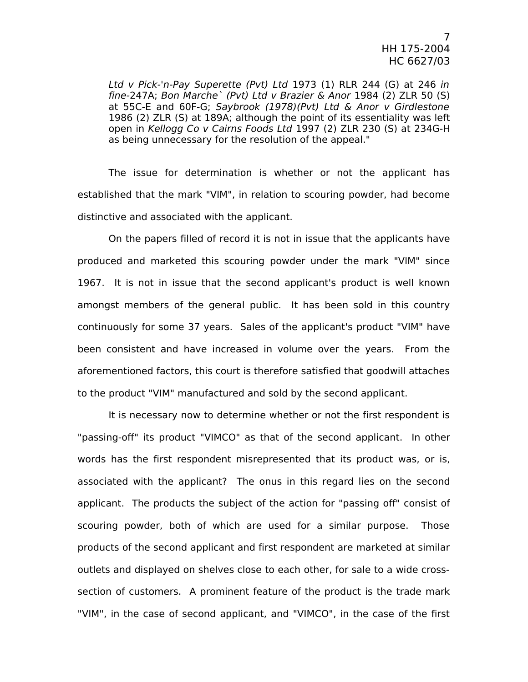Ltd v Pick-'n-Pay Superette (Pvt) Ltd 1973 (1) RLR 244 (G) at 246 in fine-247A; Bon Marche` (Pvt) Ltd v Brazier & Anor 1984 (2) ZLR 50 (S) at 55C-E and 60F-G; Saybrook (1978)(Pvt) Ltd & Anor v Girdlestone 1986 (2) ZLR (S) at 189A; although the point of its essentiality was left open in Kellogg Co v Cairns Foods Ltd 1997 (2) ZLR 230 (S) at 234G-H as being unnecessary for the resolution of the appeal."

The issue for determination is whether or not the applicant has established that the mark "VIM", in relation to scouring powder, had become distinctive and associated with the applicant.

On the papers filled of record it is not in issue that the applicants have produced and marketed this scouring powder under the mark "VIM" since 1967. It is not in issue that the second applicant's product is well known amongst members of the general public. It has been sold in this country continuously for some 37 years. Sales of the applicant's product "VIM" have been consistent and have increased in volume over the years. From the aforementioned factors, this court is therefore satisfied that goodwill attaches to the product "VIM" manufactured and sold by the second applicant.

It is necessary now to determine whether or not the first respondent is "passing-off" its product "VIMCO" as that of the second applicant. In other words has the first respondent misrepresented that its product was, or is, associated with the applicant? The onus in this regard lies on the second applicant. The products the subject of the action for "passing off" consist of scouring powder, both of which are used for a similar purpose. Those products of the second applicant and first respondent are marketed at similar outlets and displayed on shelves close to each other, for sale to a wide crosssection of customers. A prominent feature of the product is the trade mark "VIM", in the case of second applicant, and "VIMCO", in the case of the first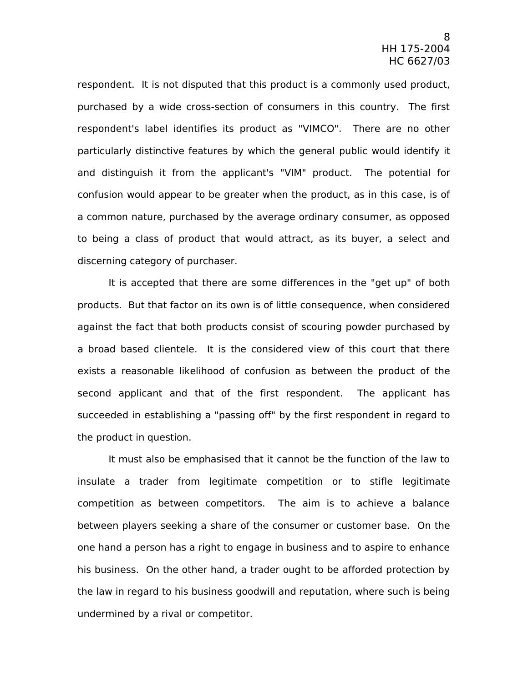respondent. It is not disputed that this product is a commonly used product, purchased by a wide cross-section of consumers in this country. The first respondent's label identifies its product as "VIMCO". There are no other particularly distinctive features by which the general public would identify it and distinguish it from the applicant's "VIM" product. The potential for confusion would appear to be greater when the product, as in this case, is of a common nature, purchased by the average ordinary consumer, as opposed to being a class of product that would attract, as its buyer, a select and discerning category of purchaser.

It is accepted that there are some differences in the "get up" of both products. But that factor on its own is of little consequence, when considered against the fact that both products consist of scouring powder purchased by a broad based clientele. It is the considered view of this court that there exists a reasonable likelihood of confusion as between the product of the second applicant and that of the first respondent. The applicant has succeeded in establishing a "passing off" by the first respondent in regard to the product in question.

It must also be emphasised that it cannot be the function of the law to insulate a trader from legitimate competition or to stifle legitimate competition as between competitors. The aim is to achieve a balance between players seeking a share of the consumer or customer base. On the one hand a person has a right to engage in business and to aspire to enhance his business. On the other hand, a trader ought to be afforded protection by the law in regard to his business goodwill and reputation, where such is being undermined by a rival or competitor.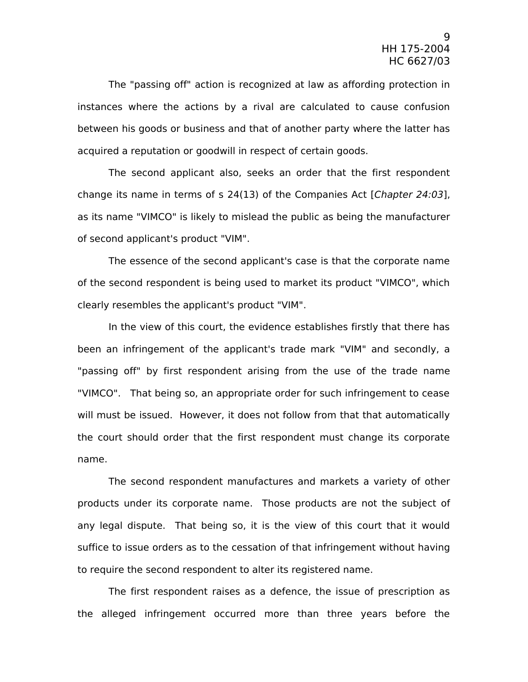The "passing off" action is recognized at law as affording protection in instances where the actions by a rival are calculated to cause confusion between his goods or business and that of another party where the latter has acquired a reputation or goodwill in respect of certain goods.

The second applicant also, seeks an order that the first respondent change its name in terms of s  $24(13)$  of the Companies Act [Chapter 24:03], as its name "VIMCO" is likely to mislead the public as being the manufacturer of second applicant's product "VIM".

The essence of the second applicant's case is that the corporate name of the second respondent is being used to market its product "VIMCO", which clearly resembles the applicant's product "VIM".

In the view of this court, the evidence establishes firstly that there has been an infringement of the applicant's trade mark "VIM" and secondly, a "passing off" by first respondent arising from the use of the trade name "VIMCO". That being so, an appropriate order for such infringement to cease will must be issued. However, it does not follow from that that automatically the court should order that the first respondent must change its corporate name.

The second respondent manufactures and markets a variety of other products under its corporate name. Those products are not the subject of any legal dispute. That being so, it is the view of this court that it would suffice to issue orders as to the cessation of that infringement without having to require the second respondent to alter its registered name.

The first respondent raises as a defence, the issue of prescription as the alleged infringement occurred more than three years before the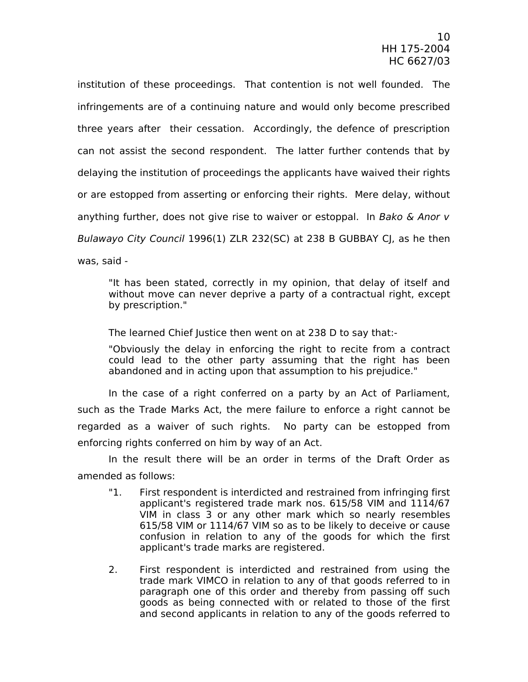institution of these proceedings. That contention is not well founded. The infringements are of a continuing nature and would only become prescribed three years after their cessation. Accordingly, the defence of prescription can not assist the second respondent. The latter further contends that by delaying the institution of proceedings the applicants have waived their rights or are estopped from asserting or enforcing their rights. Mere delay, without anything further, does not give rise to waiver or estoppal. In Bako & Anor v Bulawayo City Council 1996(1) ZLR 232(SC) at 238 B GUBBAY CJ, as he then was, said -

"It has been stated, correctly in my opinion, that delay of itself and without move can never deprive a party of a contractual right, except by prescription."

The learned Chief Justice then went on at 238 D to say that:-

"Obviously the delay in enforcing the right to recite from a contract could lead to the other party assuming that the right has been abandoned and in acting upon that assumption to his prejudice."

In the case of a right conferred on a party by an Act of Parliament, such as the Trade Marks Act, the mere failure to enforce a right cannot be regarded as a waiver of such rights. No party can be estopped from enforcing rights conferred on him by way of an Act.

In the result there will be an order in terms of the Draft Order as amended as follows:

- "1. First respondent is interdicted and restrained from infringing first applicant's registered trade mark nos. 615/58 VIM and 1114/67 VIM in class 3 or any other mark which so nearly resembles 615/58 VIM or 1114/67 VIM so as to be likely to deceive or cause confusion in relation to any of the goods for which the first applicant's trade marks are registered.
- 2. First respondent is interdicted and restrained from using the trade mark VIMCO in relation to any of that goods referred to in paragraph one of this order and thereby from passing off such goods as being connected with or related to those of the first and second applicants in relation to any of the goods referred to